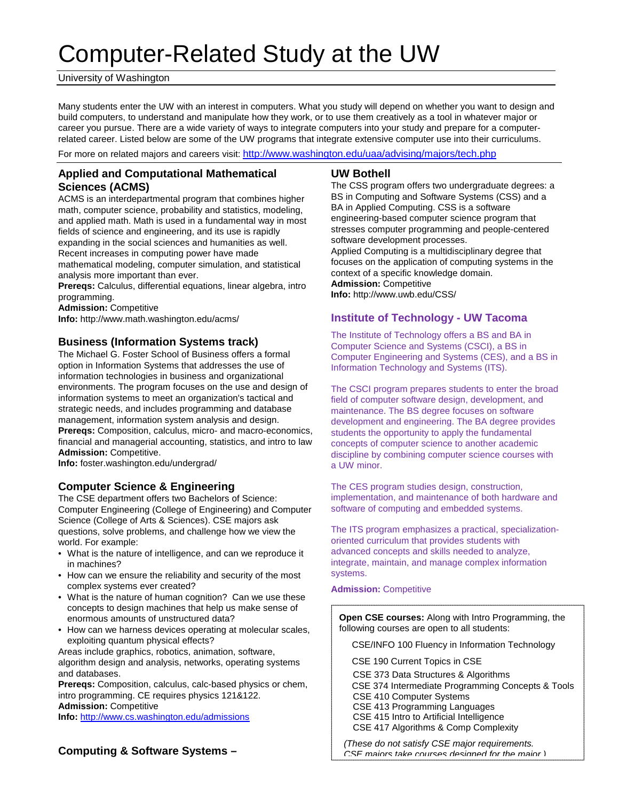# Computer-Related Study at the UW

#### University of Washington

Many students enter the UW with an interest in computers. What you study will depend on whether you want to design and build computers, to understand and manipulate how they work, or to use them creatively as a tool in whatever major or career you pursue. There are a wide variety of ways to integrate computers into your study and prepare for a computerrelated career. Listed below are some of the UW programs that integrate extensive computer use into their curriculums.

For more on related majors and careers visit: <http://www.washington.edu/uaa/advising/majors/tech.php>

## **Applied and Computational Mathematical Sciences (ACMS)**

ACMS is an interdepartmental program that combines higher math, computer science, probability and statistics, modeling, and applied math. Math is used in a fundamental way in most fields of science and engineering, and its use is rapidly expanding in the social sciences and humanities as well. Recent increases in computing power have made mathematical modeling, computer simulation, and statistical analysis more important than ever.

**Prereqs:** Calculus, differential equations, linear algebra, intro programming.

**Admission:** Competitive

**Info:** http://www.math.washington.edu/acms/

## **Business (Information Systems track)**

The Michael G. Foster School of Business offers a formal option in Information Systems that addresses the use of information technologies in business and organizational environments. The program focuses on the use and design of information systems to meet an organization's tactical and strategic needs, and includes programming and database management, information system analysis and design. **Prereqs:** Composition, calculus, micro- and macro-economics, financial and managerial accounting, statistics, and intro to law **Admission:** Competitive.

**Info:** foster.washington.edu/undergrad/

## **Computer Science & Engineering**

The CSE department offers two Bachelors of Science: Computer Engineering (College of Engineering) and Computer Science (College of Arts & Sciences). CSE majors ask questions, solve problems, and challenge how we view the world. For example:

- What is the nature of intelligence, and can we reproduce it in machines?
- How can we ensure the reliability and security of the most complex systems ever created?
- What is the nature of human cognition? Can we use these concepts to design machines that help us make sense of enormous amounts of unstructured data?
- How can we harness devices operating at molecular scales, exploiting quantum physical effects?

Areas include graphics, robotics, animation, software, algorithm design and analysis, networks, operating systems and databases.

**Prereqs:** Composition, calculus, calc-based physics or chem, intro programming. CE requires physics 121&122. **Admission:** Competitive **Info:** <http://www.cs.washington.edu/admissions>

## **Computing & Software Systems –**

## **UW Bothell**

The CSS program offers two undergraduate degrees: a BS in Computing and Software Systems (CSS) and a BA in Applied Computing. CSS is a software engineering-based computer science program that stresses computer programming and people-centered software development processes. Applied Computing is a multidisciplinary degree that focuses on the application of computing systems in the context of a specific knowledge domain. **Admission:** Competitive **Info:** http://www.uwb.edu/CSS/

## **Institute of Technology - UW Tacoma**

The Institute of Technology offers a BS and BA in Computer Science and Systems (CSCI), a BS in Computer Engineering and Systems (CES), and a BS in Information Technology and Systems (ITS).

The CSCI program prepares students to enter the broad field of computer software design, development, and maintenance. The BS degree focuses on software development and engineering. The BA degree provides students the opportunity to apply the fundamental concepts of computer science to another academic discipline by combining computer science courses with a UW minor.

The CES program studies design, construction, implementation, and maintenance of both hardware and software of computing and embedded systems.

The ITS program emphasizes a practical, specializationoriented curriculum that provides students with advanced concepts and skills needed to analyze, integrate, maintain, and manage complex information systems.

#### **Admission:** Competitive

**Open CSE courses:** Along with Intro Programming, the following courses are open to all students:

CSE/INFO 100 Fluency in Information Technology

CSE 190 Current Topics in CSE

CSE 373 Data Structures & Algorithms

 CSE 374 Intermediate Programming Concepts & Tools CSE 410 Computer Systems

CSE 413 Programming Languages

CSE 415 Intro to Artificial Intelligence

CSE 417 Algorithms & Comp Complexity

*(These do not satisfy CSE major requirements. CSE majors take courses designed for the major )*